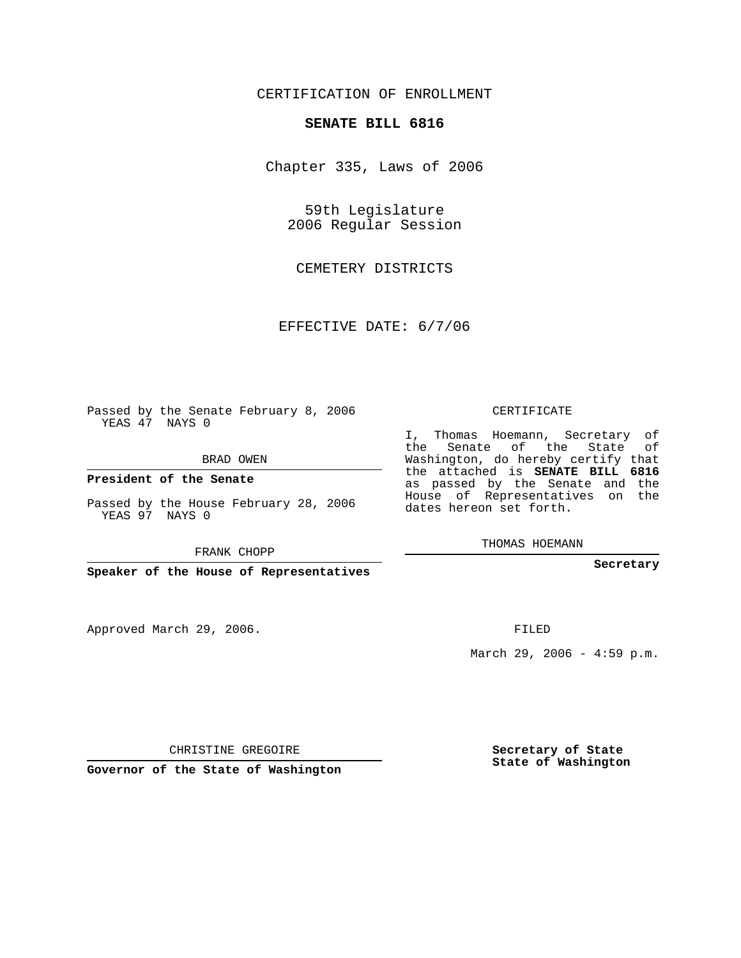## CERTIFICATION OF ENROLLMENT

## **SENATE BILL 6816**

Chapter 335, Laws of 2006

59th Legislature 2006 Regular Session

CEMETERY DISTRICTS

EFFECTIVE DATE: 6/7/06

Passed by the Senate February 8, 2006 YEAS 47 NAYS 0

BRAD OWEN

**President of the Senate**

Passed by the House February 28, 2006 YEAS 97 NAYS 0

FRANK CHOPP

**Speaker of the House of Representatives**

Approved March 29, 2006.

CERTIFICATE

I, Thomas Hoemann, Secretary of the Senate of the State of Washington, do hereby certify that the attached is **SENATE BILL 6816** as passed by the Senate and the House of Representatives on the dates hereon set forth.

THOMAS HOEMANN

**Secretary**

FILED

March 29, 2006 -  $4:59$  p.m.

CHRISTINE GREGOIRE

**Governor of the State of Washington**

**Secretary of State State of Washington**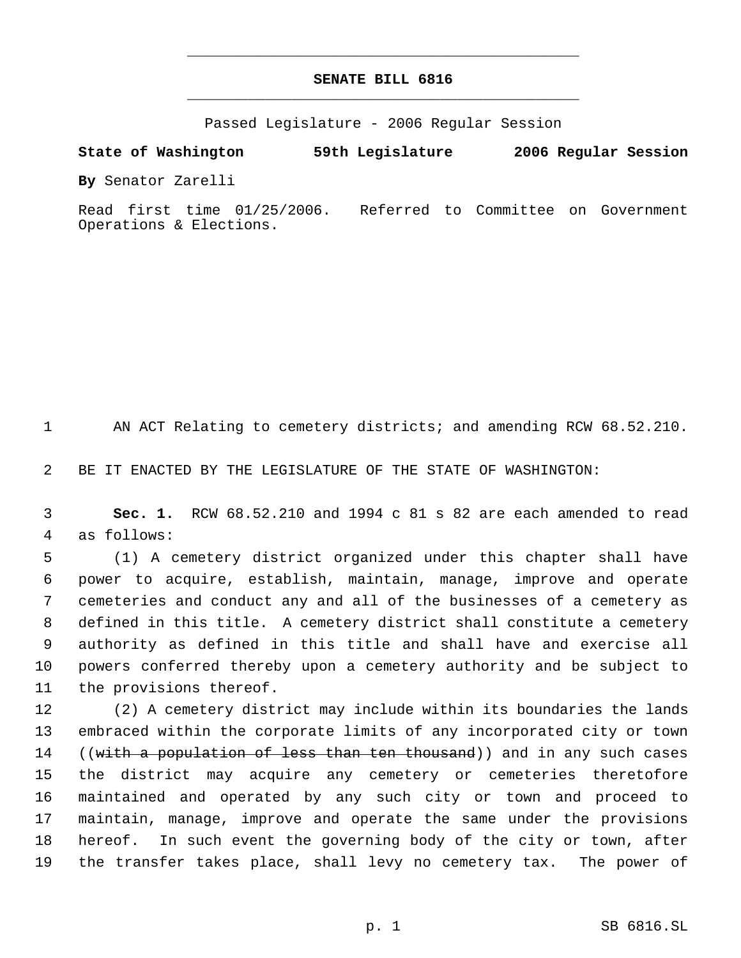## **SENATE BILL 6816** \_\_\_\_\_\_\_\_\_\_\_\_\_\_\_\_\_\_\_\_\_\_\_\_\_\_\_\_\_\_\_\_\_\_\_\_\_\_\_\_\_\_\_\_\_

\_\_\_\_\_\_\_\_\_\_\_\_\_\_\_\_\_\_\_\_\_\_\_\_\_\_\_\_\_\_\_\_\_\_\_\_\_\_\_\_\_\_\_\_\_

Passed Legislature - 2006 Regular Session

**State of Washington 59th Legislature 2006 Regular Session**

**By** Senator Zarelli

Read first time 01/25/2006. Referred to Committee on Government Operations & Elections.

1 AN ACT Relating to cemetery districts; and amending RCW 68.52.210.

BE IT ENACTED BY THE LEGISLATURE OF THE STATE OF WASHINGTON:

 **Sec. 1.** RCW 68.52.210 and 1994 c 81 s 82 are each amended to read as follows:

 (1) A cemetery district organized under this chapter shall have power to acquire, establish, maintain, manage, improve and operate cemeteries and conduct any and all of the businesses of a cemetery as defined in this title. A cemetery district shall constitute a cemetery authority as defined in this title and shall have and exercise all powers conferred thereby upon a cemetery authority and be subject to the provisions thereof.

 (2) A cemetery district may include within its boundaries the lands embraced within the corporate limits of any incorporated city or town 14 ((with a population of less than ten thousand)) and in any such cases the district may acquire any cemetery or cemeteries theretofore maintained and operated by any such city or town and proceed to maintain, manage, improve and operate the same under the provisions hereof. In such event the governing body of the city or town, after the transfer takes place, shall levy no cemetery tax. The power of